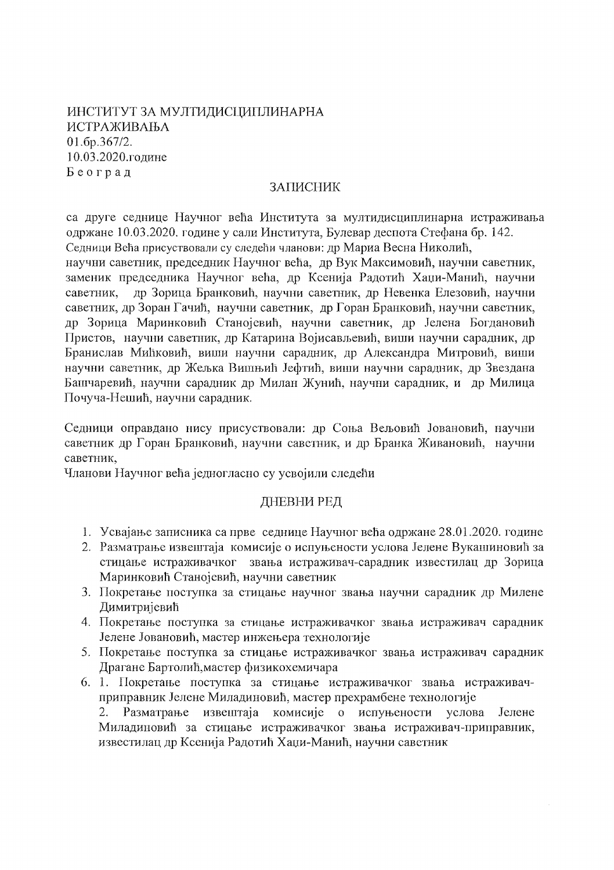ИНСТИТУТ ЗА МУЛТИДИСЦИПЛИНАРНА ИСТРАЖИВАЊА 01.6p.367/2. 10.03.2020.године Београд

### **ЗАПИСНИК**

са друге седнице Научног већа Института за мултидисциплинарна истраживања одржане 10.03.2020, године у сали Института. Булевар леспота Стефана бр. 142. Седници Већа присуствовали су следећи чланови: др Мариа Весна Николић,

научни саветник, председник Научног већа, др Вук Максимовић, научни саветник, заменик председника Научног већа, др Ксенија Радотић Хаџи-Манић, научни др Зорица Бранковић, научни саветник, др Невенка Елезовић, научни саветник. саветник, др Зоран Гачић, научни саветник, др Горан Бранковић, научни саветник, др Зорица Маринковић Станојевић, научни саветник, др Јелена Богдановић Пристов, научни саветник, др Катарина Војисављевић, виши научни сарадник, др Бранислав Мићковић, виши научни сарадник, др Александра Митровић, виши научни саветник, др Жељка Вишњић Јефтић, виши научни сарадник, др Звездана Башчаревић, научни сарадник др Милан Жунић, научни сарадник, и др Милица Почуча-Нешић, научни сарадник.

Седници оправдано нису присуствовали: др Соња Вељовић Јовановић, научни саветник др Горан Бранковић, научни саветник, и др Бранка Живановић, научни саветник.

Чланови Научног већа једногласно су усвојили следећи

## ДНЕВНИ РЕД

- 1. Усвајање записника са прве седнице Научног већа одржане 28.01.2020. године
- 2. Разматрање извештаја комисије о испуњености услова Јелене Вукашиновић за стицање истраживачког звања истраживач-сарадник известилац др Зорица Маринковић Станојевић, научни саветник
- 3. Покретање поступка за стицање научног звања научни сарадник др Милене Димитријевић
- 4. Покретање поступка за стицање истраживачког звања истраживач сарадник Јелене Јовановић, мастер инжењера технологије
- 5. Покретање поступка за стицање истраживачког звања истраживач сарадник Драгане Бартолић, мастер физикохемичара
- 6. 1. Покретање поступка за стицање истраживачког звања истраживачприправник Јелене Миладиновић, мастер прехрамбене технологије  $2.$ Разматрање извештаја комисије о испуњености услова Јелене Миладиновић за стицање истраживачког звања истраживач-приправник, известилац др Ксенија Радотић Хаџи-Манић, научни саветник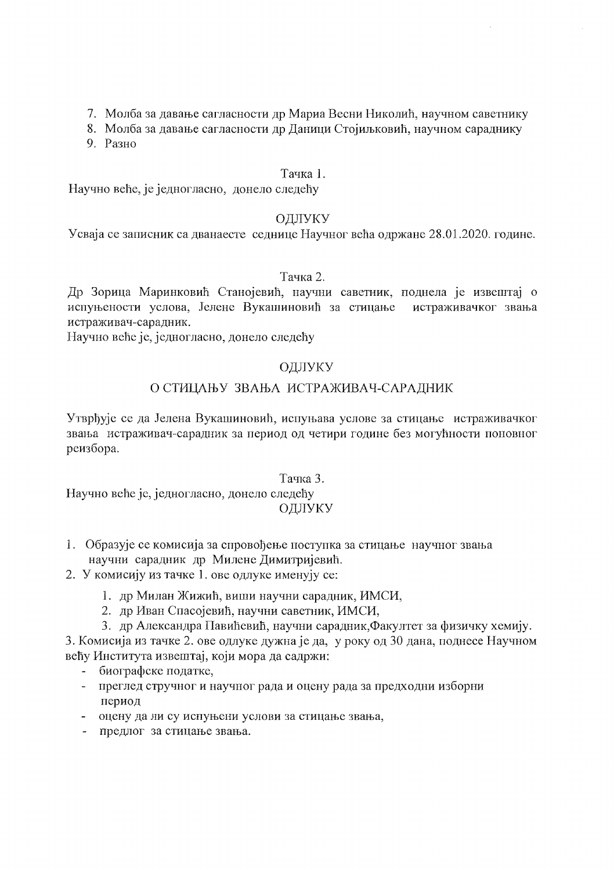- 7. Молба за давање сагласности др Мариа Весни Николић, научном саветнику
- 8. Молба за давање сагласности др Даници Стојиљковић, научном сараднику
- 9. Разно

### Тачка 1.

Научно веће, је једногласно, донело следећу

## ОДЛУКУ

Усваја се записник са дванаесте седнице Научног већа одржане 28.01.2020. године.

### Тачка 2.

Др Зорица Маринковић Станојевић, научни саветник, поднела је извештај о испуњености услова, Јелене Вукашиновић за стицање истраживачког звања истраживач-сарадник.

Научно веће је, једногласно, донело следећу

## ОДЛУКУ

# О СТИЦАЊУ ЗВАЊА ИСТРАЖИВАЧ-САРАДНИК

Утврђује се да Јелена Вукашиновић, испуњава услове за стицање истраживачког звања истраживач-сарадник за период од четири године без могућности поновног реизбора.

#### Тачка 3.

Научно веће је, једногласно, донело следећу ОДЛУКУ

- 1. Образује се комисија за спровођење поступка за стицање научног звања научни сарадник др Милене Димитријевић.
- 2. У комисију из тачке 1. ове одлуке именују се:
	- 1. др Милан Жижић, виши научни сарадник, ИМСИ,
	- 2. др Иван Спасојевић, научни саветник, ИМСИ,
	- 3. др Александра Павићевић, научни сарадник, Факултет за физичку хемију.

3. Комисија из тачке 2. ове одлуке дужна је да, у року од 30 дана, поднесе Научном већу Института извештај, који мора да садржи:

- биографске податке,
- преглед стручног и научног рада и оцену рада за предходни изборни  $\omega$  . период
- оцену да ли су испуњени услови за стицање звања,
- предлог за стицање звања.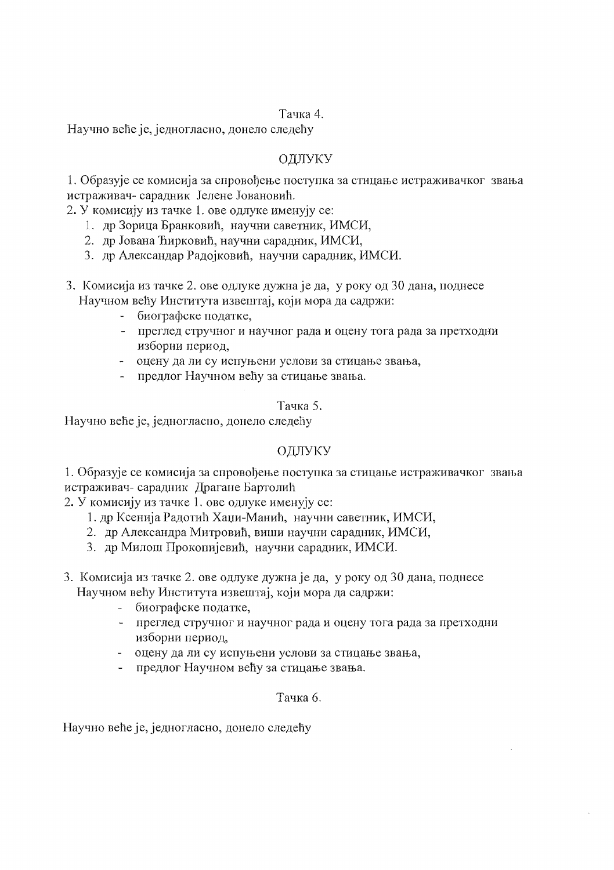### Тачка 4.

Научно веће је, једногласно, донело следећу

# ОДЛУКУ

1. Образује се комисија за спровођење поступка за стицање истраживачког звања истраживач-саралник Јелене Јовановић.

2. У комисију из тачке 1. ове одлуке именују се:

- 1. др Зорица Бранковић, научни саветник, ИМСИ,
- 2. др Јована Ћирковић, научни сарадник, ИМСИ,
- 3. др Александар Радоіковић, научни сарадник, ИМСИ.

3. Комисија из тачке 2. ове одлуке дужна је да, у року од 30 дана, поднесе Научном већу Института извештај, који мора да садржи:

- биографске податке,  $\omega$  .
- преглед стручног и научног рада и оцену тога рада за претходни изборни период,
- оцену да ли су испуњени услови за стицање звања,
- предлог Научном већу за стицање звања.

#### Тачка 5.

Научно веће је, једногласно, донело следећу

## ОДЛУКУ

1. Образује се комисија за спровођење поступка за стицање истраживачког звања истраживач- сарадник Драгане Бартолић

2. У комисију из тачке 1. ове одлуке именују се:

- 1. др Ксенија Радотић Хаци-Манић, научни саветник, ИМСИ,
- 2. др Александра Митровић, виши научни сарадник, ИМСИ,
- 3. др Милош Прокопијевић, научни сарадник, ИМСИ.

3. Комисија из тачке 2. ове одлуке дужна је да, у року од 30 дана, поднесе Научном већу Института извештај, који мора да садржи:

- биографске податке,
- преглед стручног и научног рада и оцену тога рада за претходни изборни период,
- оцену да ли су испуњени услови за стицање звања,
- предлог Научном већу за стицање звања.

## Тачка 6.

Научно веће је, једногласно, донело следећу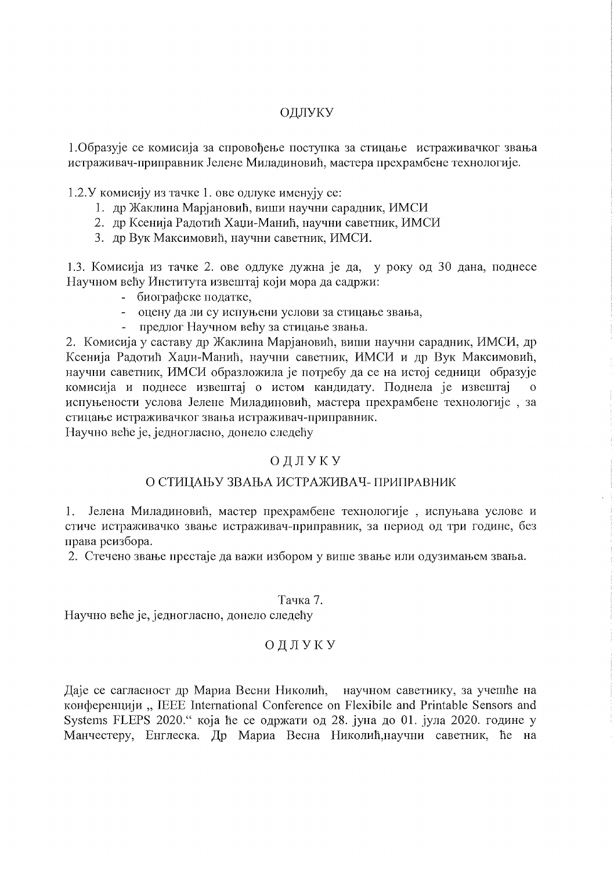## ОДЛУКУ

1. Образује се комисија за спровођење поступка за стицање истраживачког звања истраживач-приправник Јелене Миладиновић, мастера прехрамбене технологије.

1.2. У комисију из тачке 1. ове одлуке именују се:

- 1. др Жаклина Марјановић, виши научни сарадник, ИМСИ
- 2. др Ксенија Радотић Хаџи-Манић, научни саветник, ИМСИ
- 3. др Вук Максимовић, научни саветник, ИМСИ.

1.3. Комисија из тачке 2. ове одлуке дужна је да, у року од 30 дана, поднесе Научном већу Института извештај који мора да садржи:

- биографске податке,
- оцену да ли су испуњени услови за стицање звања,
- предлог Научном већу за стицање звања.

2. Комисија у саставу др Жаклина Марјановић, виши научни сарадник, ИМСИ, др Ксенија Радотић Хаџи-Манић, научни саветник, ИМСИ и др Вук Максимовић, научни саветник, ИМСИ образложила је потребу да се на истој седници образује комисија и поднесе извештај о истом кандидату. Поднела је извештај испуњености услова Јелене Миладиновић, мастера прехрамбене технологије, за стицање истраживачког звања истраживач-приправник.

Научно веће је, једногласно, донело следећу

## ОДЛУКУ

#### О СТИЦАЊУ ЗВАЊА ИСТРАЖИВАЧ- ПРИПРАВНИК

Јелена Миладиновић, мастер прехрамбене технологије, испуњава услове и 1. стиче истраживачко звање истраживач-приправник, за период од три године, без права реизбора.

2. Стечено звање престаје да важи избором у више звање или одузимањем звања.

#### Тачка 7.

Научно веће је, једногласно, донело следећу

## ОДЛУКУ

Даје се сагласност др Мариа Весни Николић, научном саветнику, за учешће на конференцији, IEEE International Conference on Flexibile and Printable Sensors and Systems FLEPS 2020." која ће се одржати од 28. јуна до 01. јула 2020. године у Манчестеру, Енглеска. Др Мариа Весна Николић, научни саветник, ће на